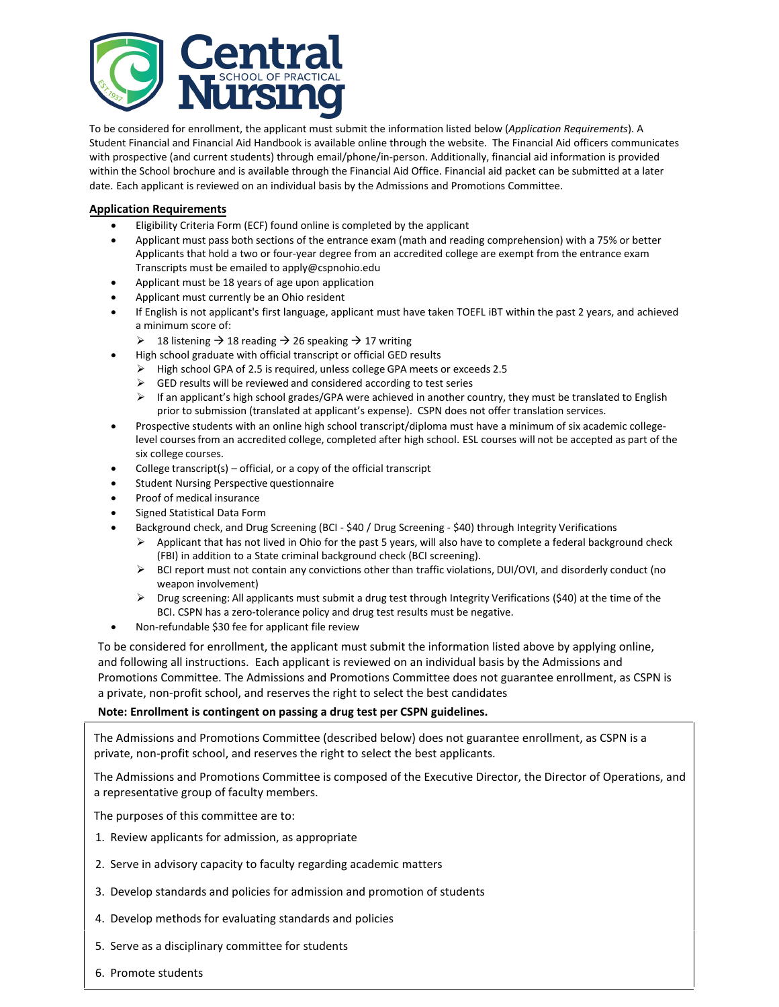

To be considered for enrollment, the applicant must submit the information listed below (*Application Requirements*). A Student Financial and Financial Aid Handbook is available online through the website. The Financial Aid officers communicates with prospective (and current students) through email/phone/in-person. Additionally, financial aid information is provided within the School brochure and is available through the Financial Aid Office. Financial aid packet can be submitted at a later date. Each applicant is reviewed on an individual basis by the Admissions and Promotions Committee.

#### **Application Requirements**

- Eligibility Criteria Form (ECF) found online is completed by the applicant
- Applicant must pass both sections of the entrance exam (math and reading comprehension) with a 75% or better Applicants that hold a two or four-year degree from an accredited college are exempt from the entrance exam Transcripts must be emailed to apply@cspnohio.edu
- Applicant must be 18 years of age upon application
- Applicant must currently be an Ohio resident
- If English is not applicant's first language, applicant must have taken TOEFL iBT within the past 2 years, and achieved a minimum score of:
	- $\geq$  18 listening  $\rightarrow$  18 reading  $\rightarrow$  26 speaking  $\rightarrow$  17 writing
	- High school graduate with official transcript or official GED results
		- High school GPA of 2.5 is required, unless college GPA meets or exceeds 2.5
		- $\triangleright$  GED results will be reviewed and considered according to test series
		- $\triangleright$  If an applicant's high school grades/GPA were achieved in another country, they must be translated to English prior to submission (translated at applicant's expense). CSPN does not offer translation services.
- Prospective students with an online high school transcript/diploma must have a minimum of six academic collegelevel courses from an accredited college, completed after high school. ESL courses will not be accepted as part of the six college courses.
- College transcript(s)  $-$  official, or a copy of the official transcript
- Student Nursing Perspective questionnaire
- Proof of medical insurance
- Signed Statistical Data Form
- Background check, and Drug Screening (BCI \$40 / Drug Screening \$40) through Integrity Verifications
	- $\triangleright$  Applicant that has not lived in Ohio for the past 5 years, will also have to complete a federal background check (FBI) in addition to a State criminal background check (BCI screening).
	- $\triangleright$  BCI report must not contain any convictions other than traffic violations, DUI/OVI, and disorderly conduct (no weapon involvement)
	- $\triangleright$  Drug screening: All applicants must submit a drug test through Integrity Verifications (\$40) at the time of the BCI. CSPN has a zero-tolerance policy and drug test results must be negative.
- Non-refundable \$30 fee for applicant file review

To be considered for enrollment, the applicant must submit the information listed above by applying online, and following all instructions. Each applicant is reviewed on an individual basis by the Admissions and Promotions Committee. The Admissions and Promotions Committee does not guarantee enrollment, as CSPN is a private, non-profit school, and reserves the right to select the best candidates.

#### **Note: Enrollment is contingent on passing a drug test per CSPN guidelines.**

The Admissions and Promotions Committee (described below) does not guarantee enrollment, as CSPN is a private, non-profit school, and reserves the right to select the best applicants.

The Admissions and Promotions Committee is composed of the Executive Director, the Director of Operations, and a representative group of faculty members.

The purposes of this committee are to:

- 1. Review applicants for admission, as appropriate
- 2. Serve in advisory capacity to faculty regarding academic matters
- 3. Develop standards and policies for admission and promotion of students
- 4. Develop methods for evaluating standards and policies
- 5. Serve as a disciplinary committee for students
- 6. Promote students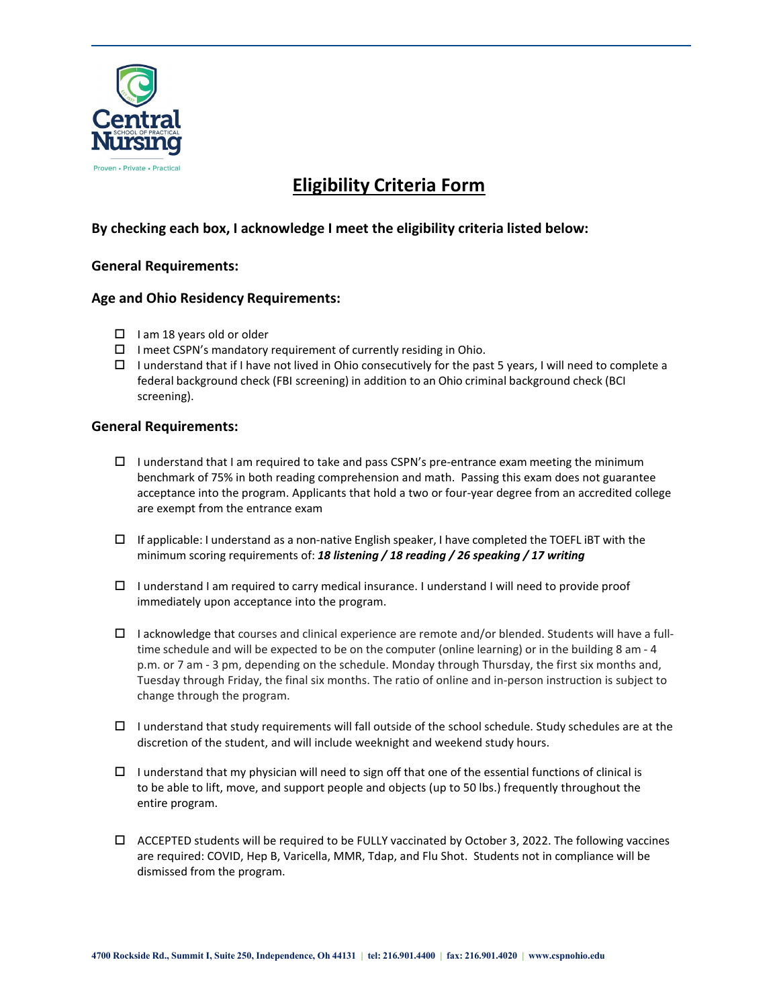

# **Eligibility Criteria Form**

# **By checking each box, I acknowledge I meet the eligibility criteria listed below:**

## **General Requirements:**

## **Age and Ohio Residency Requirements:**

- $\Box$  I am 18 years old or older
- $\Box$  I meet CSPN's mandatory requirement of currently residing in Ohio.
- $\Box$  I understand that if I have not lived in Ohio consecutively for the past 5 years, I will need to complete a federal background check (FBI screening) in addition to an Ohio criminal background check (BCI screening).

#### **General Requirements:**

- $\Box$  I understand that I am required to take and pass CSPN's pre-entrance exam meeting the minimum benchmark of 75% in both reading comprehension and math. Passing this exam does not guarantee acceptance into the program. Applicants that hold a two or four-year degree from an accredited college are exempt from the entrance exam
- $\Box$  If applicable: I understand as a non-native English speaker, I have completed the TOEFL IBT with the minimum scoring requirements of: *18 listening / 18 reading / 26 speaking / 17 writing*
- $\Box$  I understand I am required to carry medical insurance. I understand I will need to provide proof immediately upon acceptance into the program.
- $\Box$  I acknowledge that courses and clinical experience are remote and/or blended. Students will have a fulltime schedule and will be expected to be on the computer (online learning) or in the building 8 am - 4 p.m. or 7 am - 3 pm, depending on the schedule. Monday through Thursday, the first six months and, Tuesday through Friday, the final six months. The ratio of online and in-person instruction is subject to change through the program.
- $\Box$  I understand that study requirements will fall outside of the school schedule. Study schedules are at the discretion of the student, and will include weeknight and weekend study hours.
- $\Box$  I understand that my physician will need to sign off that one of the essential functions of clinical is to be able to lift, move, and support people and objects (up to 50 lbs.) frequently throughout the entire program.
- $\Box$  ACCEPTED students will be required to be FULLY vaccinated by October 3, 2022. The following vaccines are required: COVID, Hep B, Varicella, MMR, Tdap, and Flu Shot. Students not in compliance will be dismissed from the program.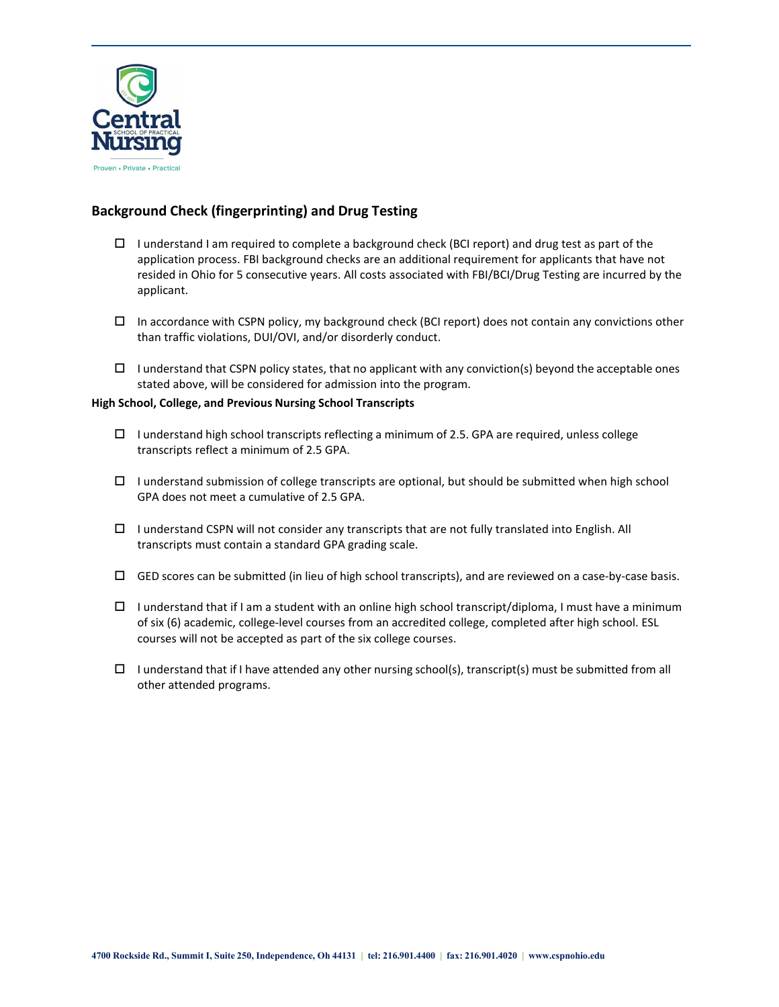

## **Background Check (fingerprinting) and Drug Testing**

- $\Box$  I understand I am required to complete a background check (BCI report) and drug test as part of the application process. FBI background checks are an additional requirement for applicants that have not resided in Ohio for 5 consecutive years. All costs associated with FBI/BCI/Drug Testing are incurred by the applicant.
- $\Box$  In accordance with CSPN policy, my background check (BCI report) does not contain any convictions other than traffic violations, DUI/OVI, and/or disorderly conduct.
- $\Box$  I understand that CSPN policy states, that no applicant with any conviction(s) beyond the acceptable ones stated above, will be considered for admission into the program.

#### **High School, College, and Previous Nursing School Transcripts**

- $\Box$  I understand high school transcripts reflecting a minimum of 2.5. GPA are required, unless college transcripts reflect a minimum of 2.5 GPA.
- $\Box$  I understand submission of college transcripts are optional, but should be submitted when high school GPA does not meet a cumulative of 2.5 GPA.
- $\Box$  I understand CSPN will not consider any transcripts that are not fully translated into English. All transcripts must contain a standard GPA grading scale.
- $\Box$  GED scores can be submitted (in lieu of high school transcripts), and are reviewed on a case-by-case basis.
- $\Box$  I understand that if I am a student with an online high school transcript/diploma, I must have a minimum of six (6) academic, college-level courses from an accredited college, completed after high school. ESL courses will not be accepted as part of the six college courses.
- $\Box$  I understand that if I have attended any other nursing school(s), transcript(s) must be submitted from all other attended programs.